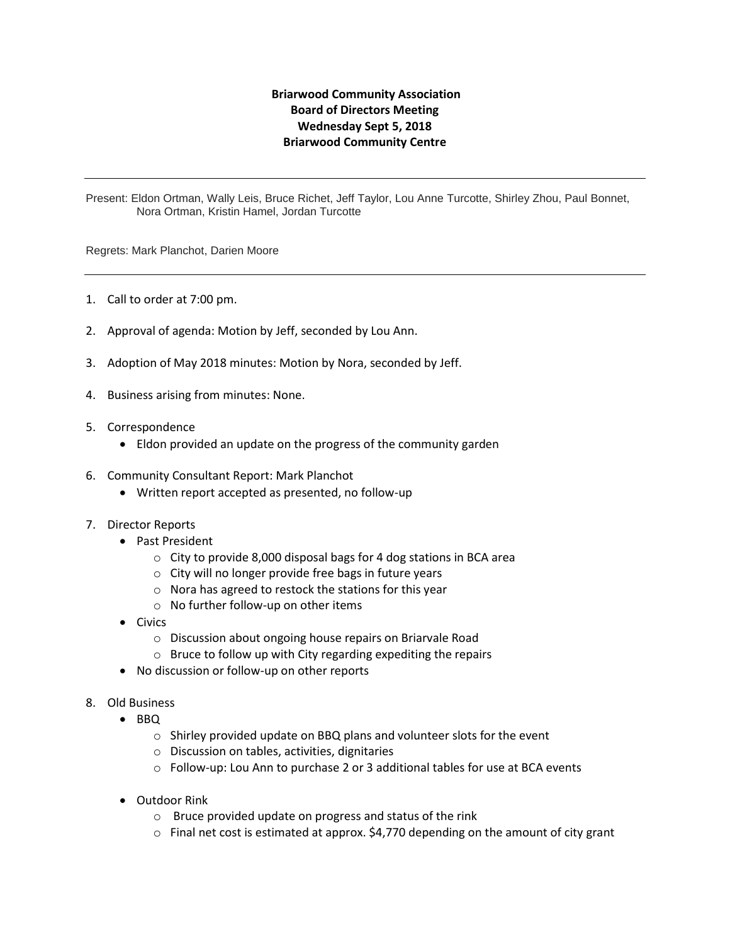## **Briarwood Community Association Board of Directors Meeting Wednesday Sept 5, 2018 Briarwood Community Centre**

Present: Eldon Ortman, Wally Leis, Bruce Richet, Jeff Taylor, Lou Anne Turcotte, Shirley Zhou, Paul Bonnet, Nora Ortman, Kristin Hamel, Jordan Turcotte

Regrets: Mark Planchot, Darien Moore

- 1. Call to order at 7:00 pm.
- 2. Approval of agenda: Motion by Jeff, seconded by Lou Ann.
- 3. Adoption of May 2018 minutes: Motion by Nora, seconded by Jeff.
- 4. Business arising from minutes: None.
- 5. Correspondence
	- Eldon provided an update on the progress of the community garden
- 6. Community Consultant Report: Mark Planchot
	- Written report accepted as presented, no follow-up
- 7. Director Reports
	- Past President
		- o City to provide 8,000 disposal bags for 4 dog stations in BCA area
		- o City will no longer provide free bags in future years
		- o Nora has agreed to restock the stations for this year
		- o No further follow-up on other items
	- Civics
		- o Discussion about ongoing house repairs on Briarvale Road
		- o Bruce to follow up with City regarding expediting the repairs
	- No discussion or follow-up on other reports
- 8. Old Business
	- BBQ
		- o Shirley provided update on BBQ plans and volunteer slots for the event
		- o Discussion on tables, activities, dignitaries
		- o Follow-up: Lou Ann to purchase 2 or 3 additional tables for use at BCA events
	- Outdoor Rink
		- o Bruce provided update on progress and status of the rink
		- $\circ$  Final net cost is estimated at approx. \$4,770 depending on the amount of city grant